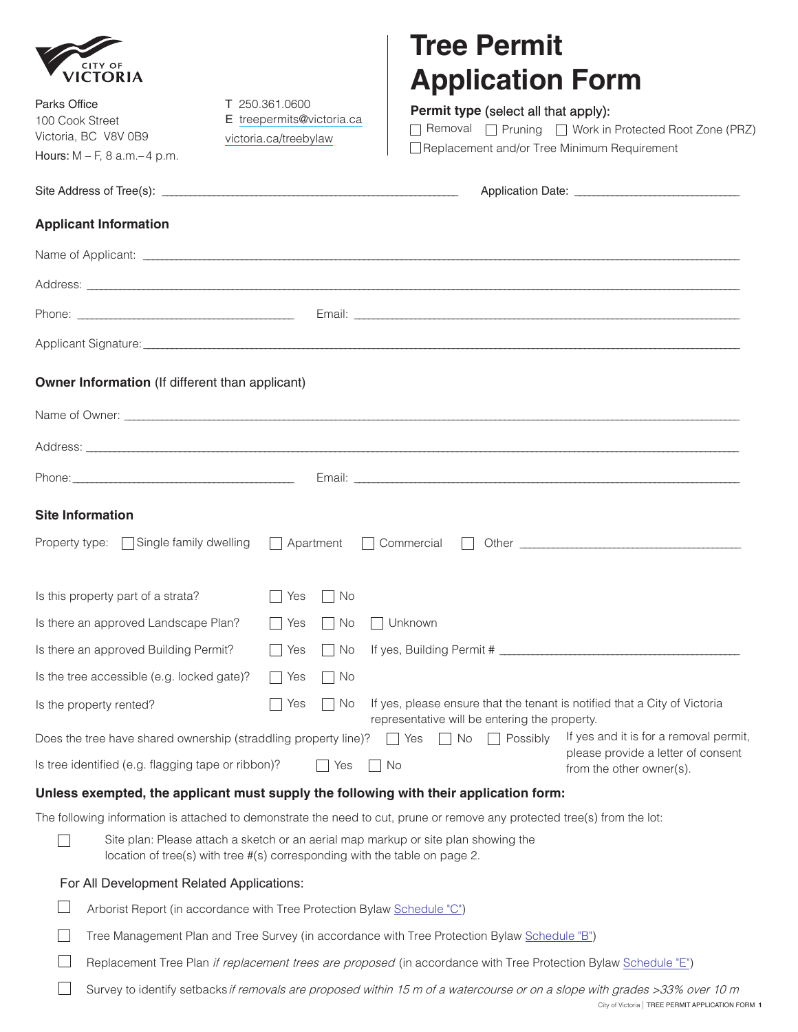|  | <b>CITY OF</b><br>VICTORIA |  |  |  |
|--|----------------------------|--|--|--|

| <b>VICTORIA</b>                                                                                                                 |                                                                                                                                                                  | <b>Application Form</b>                                                                                                                                                                                                        |  |  |
|---------------------------------------------------------------------------------------------------------------------------------|------------------------------------------------------------------------------------------------------------------------------------------------------------------|--------------------------------------------------------------------------------------------------------------------------------------------------------------------------------------------------------------------------------|--|--|
| Parks Office<br>T 250.361.0600<br>E treepermits@victoria.ca<br>100 Cook Street<br>Victoria, BC V8V 0B9<br>victoria.ca/treebylaw |                                                                                                                                                                  | <b>Permit type</b> (select all that apply):<br>□ Removal □ Pruning □ Work in Protected Root Zone (PRZ)<br>Replacement and/or Tree Minimum Requirement                                                                          |  |  |
| Hours: $M - F$ , 8 a.m. $-4$ p.m.                                                                                               |                                                                                                                                                                  |                                                                                                                                                                                                                                |  |  |
|                                                                                                                                 |                                                                                                                                                                  |                                                                                                                                                                                                                                |  |  |
| <b>Applicant Information</b>                                                                                                    |                                                                                                                                                                  |                                                                                                                                                                                                                                |  |  |
|                                                                                                                                 |                                                                                                                                                                  |                                                                                                                                                                                                                                |  |  |
|                                                                                                                                 |                                                                                                                                                                  |                                                                                                                                                                                                                                |  |  |
|                                                                                                                                 |                                                                                                                                                                  |                                                                                                                                                                                                                                |  |  |
|                                                                                                                                 |                                                                                                                                                                  |                                                                                                                                                                                                                                |  |  |
| Owner Information (If different than applicant)                                                                                 |                                                                                                                                                                  |                                                                                                                                                                                                                                |  |  |
|                                                                                                                                 |                                                                                                                                                                  |                                                                                                                                                                                                                                |  |  |
|                                                                                                                                 |                                                                                                                                                                  |                                                                                                                                                                                                                                |  |  |
|                                                                                                                                 |                                                                                                                                                                  |                                                                                                                                                                                                                                |  |  |
| <b>Site Information</b>                                                                                                         |                                                                                                                                                                  |                                                                                                                                                                                                                                |  |  |
|                                                                                                                                 |                                                                                                                                                                  | Property type: Single family dwelling   Apartment   Commercial   Other   Commercial   Other   Commercial   Other   Commercial   Other   Commercial   Other   Commercial   Other   Commercial   Other   Commercial   Other   Co |  |  |
| Is this property part of a strata?                                                                                              | $\Box$ Yes $\Box$ No                                                                                                                                             |                                                                                                                                                                                                                                |  |  |
| Is there an approved Landscape Plan?                                                                                            | □ Yes □ No □ Unknown                                                                                                                                             |                                                                                                                                                                                                                                |  |  |
| Is there an approved Building Permit?                                                                                           |                                                                                                                                                                  | □ Yes □ No If yes, Building Permit #                                                                                                                                                                                           |  |  |
| Is the tree accessible (e.g. locked gate)?                                                                                      | No<br>Yes                                                                                                                                                        |                                                                                                                                                                                                                                |  |  |
| Is the property rented?                                                                                                         | Yes<br>No                                                                                                                                                        | If yes, please ensure that the tenant is notified that a City of Victoria                                                                                                                                                      |  |  |
|                                                                                                                                 | Does the tree have shared ownership (straddling property line)?                                                                                                  | representative will be entering the property.<br>If yes and it is for a removal permit,<br>No<br>Possibly<br>Yes                                                                                                               |  |  |
| Is tree identified (e.g. flagging tape or ribbon)?                                                                              | Yes                                                                                                                                                              | please provide a letter of consent<br>No<br>from the other owner(s).                                                                                                                                                           |  |  |
|                                                                                                                                 |                                                                                                                                                                  | Unless exempted, the applicant must supply the following with their application form:                                                                                                                                          |  |  |
|                                                                                                                                 |                                                                                                                                                                  | The following information is attached to demonstrate the need to cut, prune or remove any protected tree(s) from the lot:                                                                                                      |  |  |
|                                                                                                                                 | Site plan: Please attach a sketch or an aerial map markup or site plan showing the<br>location of tree(s) with tree #(s) corresponding with the table on page 2. |                                                                                                                                                                                                                                |  |  |
| For All Development Related Applications:                                                                                       |                                                                                                                                                                  |                                                                                                                                                                                                                                |  |  |
|                                                                                                                                 | Arborist Report (in accordance with Tree Protection Bylaw Schedule "C")                                                                                          |                                                                                                                                                                                                                                |  |  |
|                                                                                                                                 |                                                                                                                                                                  | Tree Management Plan and Tree Survey (in accordance with Tree Protection Bylaw Schedule "B")                                                                                                                                   |  |  |

**Tree Permit** 

- $\Box$ Replacement Tree Plan if replacement trees are proposed (in accordance with Tree Protection Bylaw [Schedule "E"](https://www.victoria.ca/assets/Departments/Legislative~Services/Documents/21-035%20Tree%20Protection%20Bylaw.pdf#page=34))
- $\Box$ Survey to identify setbacks if removals are proposed within 15 m of a watercourse or on a slope with grades >33% over 10 m